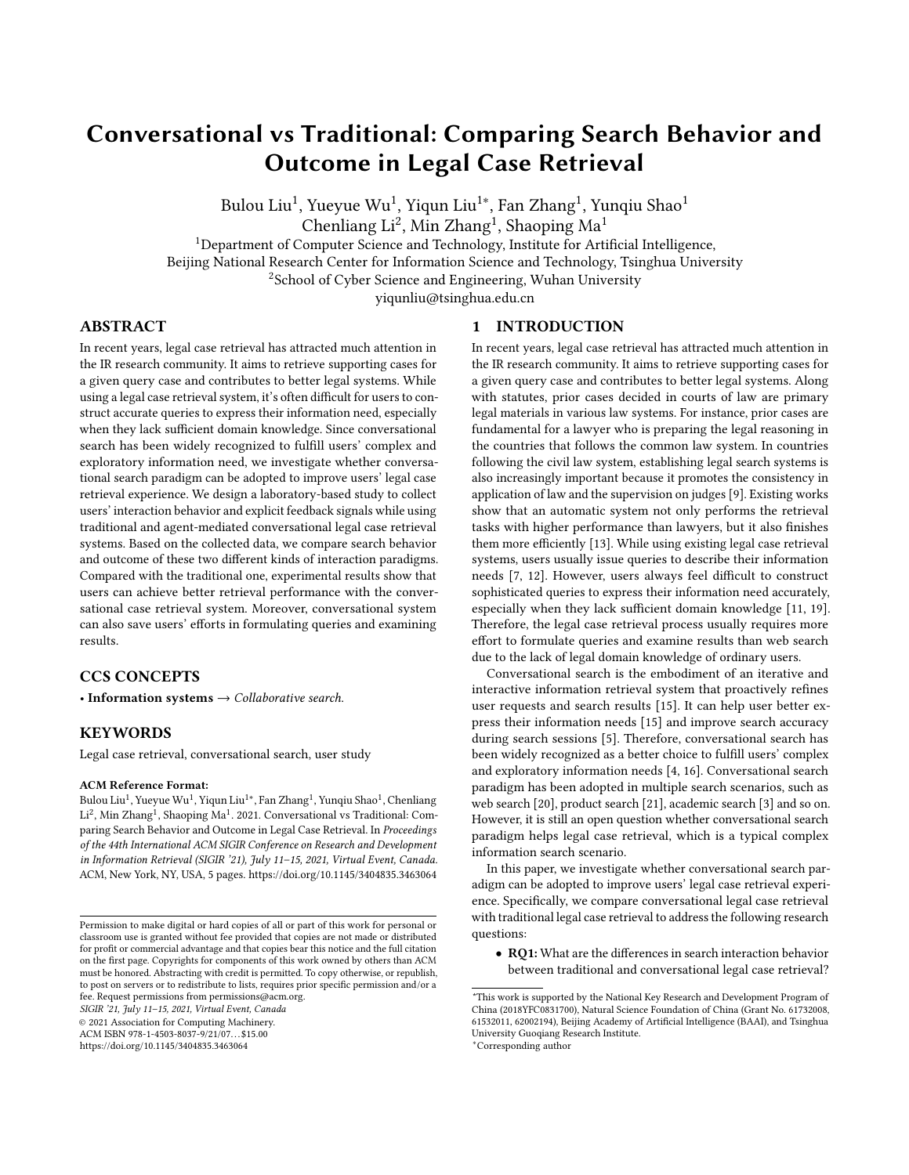# Conversational vs Traditional: Comparing Search Behavior and Outcome in Legal Case Retrieval

Bulou Liu $^1$ , Yueyue Wu $^1$ , Yiqun Liu $^{1*}$ , Fan Zhang $^1$ , Yunqiu Shao $^1$ 

Chenliang Li<sup>2</sup>, Min Zhang<sup>1</sup>, Shaoping Ma<sup>1</sup>

<sup>1</sup>Department of Computer Science and Technology, Institute for Artificial Intelligence,

Beijing National Research Center for Information Science and Technology, Tsinghua University

<sup>2</sup>School of Cyber Science and Engineering, Wuhan University

yiqunliu@tsinghua.edu.cn

# ABSTRACT

In recent years, legal case retrieval has attracted much attention in the IR research community. It aims to retrieve supporting cases for a given query case and contributes to better legal systems. While using a legal case retrieval system, it's often difficult for users to construct accurate queries to express their information need, especially when they lack sufficient domain knowledge. Since conversational search has been widely recognized to fulfill users' complex and exploratory information need, we investigate whether conversational search paradigm can be adopted to improve users' legal case retrieval experience. We design a laboratory-based study to collect users' interaction behavior and explicit feedback signals while using traditional and agent-mediated conversational legal case retrieval systems. Based on the collected data, we compare search behavior and outcome of these two different kinds of interaction paradigms. Compared with the traditional one, experimental results show that users can achieve better retrieval performance with the conversational case retrieval system. Moreover, conversational system can also save users' efforts in formulating queries and examining results.

# CCS CONCEPTS

• Information systems  $\rightarrow$  Collaborative search.

## **KEYWORDS**

Legal case retrieval, conversational search, user study

#### ACM Reference Format:

Bulou Liu<sup>1</sup>, Yueyue Wu<sup>1</sup>, Yiqun Liu<sup>1∗</sup>, Fan Zhang<sup>1</sup>, Yunqiu Shao<sup>1</sup>, Chenliang Li<sup>2</sup>, Min Zhang<sup>1</sup>, Shaoping Ma<sup>1</sup>. 2021. Conversational vs Traditional: Comparing Search Behavior and Outcome in Legal Case Retrieval. In Proceedings of the 44th International ACM SIGIR Conference on Research and Development in Information Retrieval (SIGIR '21), July 11–15, 2021, Virtual Event, Canada. ACM, New York, NY, USA, [5](#page-4-0) pages.<https://doi.org/10.1145/3404835.3463064>

SIGIR '21, July 11–15, 2021, Virtual Event, Canada

© 2021 Association for Computing Machinery.

ACM ISBN 978-1-4503-8037-9/21/07. . . \$15.00

<https://doi.org/10.1145/3404835.3463064>

#### 1 INTRODUCTION

In recent years, legal case retrieval has attracted much attention in the IR research community. It aims to retrieve supporting cases for a given query case and contributes to better legal systems. Along with statutes, prior cases decided in courts of law are primary legal materials in various law systems. For instance, prior cases are fundamental for a lawyer who is preparing the legal reasoning in the countries that follows the common law system. In countries following the civil law system, establishing legal search systems is also increasingly important because it promotes the consistency in application of law and the supervision on judges [\[9\]](#page-4-1). Existing works show that an automatic system not only performs the retrieval tasks with higher performance than lawyers, but it also finishes them more efficiently [\[13\]](#page-4-2). While using existing legal case retrieval systems, users usually issue queries to describe their information needs [\[7,](#page-4-3) [12\]](#page-4-4). However, users always feel difficult to construct sophisticated queries to express their information need accurately, especially when they lack sufficient domain knowledge [\[11,](#page-4-5) [19\]](#page-4-6). Therefore, the legal case retrieval process usually requires more effort to formulate queries and examine results than web search due to the lack of legal domain knowledge of ordinary users.

Conversational search is the embodiment of an iterative and interactive information retrieval system that proactively refines user requests and search results [\[15\]](#page-4-7). It can help user better express their information needs [\[15\]](#page-4-7) and improve search accuracy during search sessions [\[5\]](#page-4-8). Therefore, conversational search has been widely recognized as a better choice to fulfill users' complex and exploratory information needs [\[4,](#page-4-9) [16\]](#page-4-10). Conversational search paradigm has been adopted in multiple search scenarios, such as web search [\[20\]](#page-4-11), product search [\[21\]](#page-4-12), academic search [\[3\]](#page-4-13) and so on. However, it is still an open question whether conversational search paradigm helps legal case retrieval, which is a typical complex information search scenario.

In this paper, we investigate whether conversational search paradigm can be adopted to improve users' legal case retrieval experience. Specifically, we compare conversational legal case retrieval with traditional legal case retrieval to address the following research questions:

• RQ1: What are the differences in search interaction behavior between traditional and conversational legal case retrieval?

<sup>∗</sup>Corresponding author

Permission to make digital or hard copies of all or part of this work for personal or classroom use is granted without fee provided that copies are not made or distributed for profit or commercial advantage and that copies bear this notice and the full citation on the first page. Copyrights for components of this work owned by others than ACM must be honored. Abstracting with credit is permitted. To copy otherwise, or republish, to post on servers or to redistribute to lists, requires prior specific permission and/or a fee. Request permissions from permissions@acm.org.

<sup>\*</sup>This work is supported by the National Key Research and Development Program of China (2018YFC0831700), Natural Science Foundation of China (Grant No. 61732008, 61532011, 62002194), Beijing Academy of Artificial Intelligence (BAAI), and Tsinghua University Guoqiang Research Institute.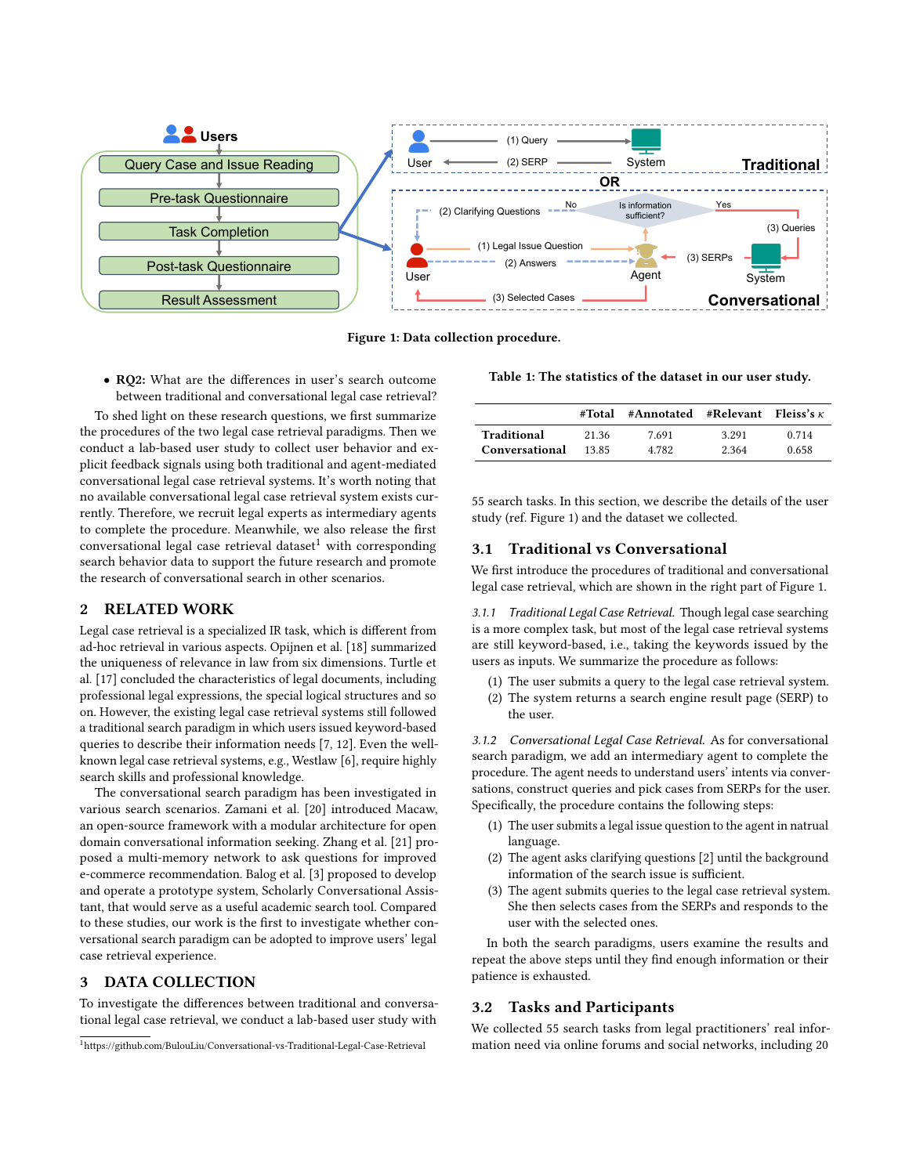<span id="page-1-1"></span>

Figure 1: Data collection procedure.

• RQ2: What are the differences in user's search outcome between traditional and conversational legal case retrieval?

To shed light on these research questions, we first summarize the procedures of the two legal case retrieval paradigms. Then we conduct a lab-based user study to collect user behavior and explicit feedback signals using both traditional and agent-mediated conversational legal case retrieval systems. It's worth noting that no available conversational legal case retrieval system exists currently. Therefore, we recruit legal experts as intermediary agents to complete the procedure. Meanwhile, we also release the first conversational legal case retrieval dataset $<sup>1</sup>$  $<sup>1</sup>$  $<sup>1</sup>$  with corresponding</sup> search behavior data to support the future research and promote the research of conversational search in other scenarios.

# 2 RELATED WORK

Legal case retrieval is a specialized IR task, which is different from ad-hoc retrieval in various aspects. Opijnen et al. [\[18\]](#page-4-14) summarized the uniqueness of relevance in law from six dimensions. Turtle et al. [\[17\]](#page-4-15) concluded the characteristics of legal documents, including professional legal expressions, the special logical structures and so on. However, the existing legal case retrieval systems still followed a traditional search paradigm in which users issued keyword-based queries to describe their information needs [\[7,](#page-4-3) [12\]](#page-4-4). Even the wellknown legal case retrieval systems, e.g., Westlaw [\[6\]](#page-4-16), require highly search skills and professional knowledge.

The conversational search paradigm has been investigated in various search scenarios. Zamani et al. [\[20\]](#page-4-11) introduced Macaw, an open-source framework with a modular architecture for open domain conversational information seeking. Zhang et al. [\[21\]](#page-4-12) proposed a multi-memory network to ask questions for improved e-commerce recommendation. Balog et al. [\[3\]](#page-4-13) proposed to develop and operate a prototype system, Scholarly Conversational Assistant, that would serve as a useful academic search tool. Compared to these studies, our work is the first to investigate whether conversational search paradigm can be adopted to improve users' legal case retrieval experience.

# 3 DATA COLLECTION

To investigate the differences between traditional and conversational legal case retrieval, we conduct a lab-based user study with

<span id="page-1-2"></span>Table 1: The statistics of the dataset in our user study.

|                | #Total | #Annotated #Relevant Fleiss's $\kappa$ |       |       |
|----------------|--------|----------------------------------------|-------|-------|
| Traditional    | 21.36  | 7.691                                  | 3.291 | 0.714 |
| Conversational | 13.85  | 4.782                                  | 2.364 | 0.658 |

55 search tasks. In this section, we describe the details of the user study (ref. Figure [1\)](#page-1-1) and the dataset we collected.

### 3.1 Traditional vs Conversational

We first introduce the procedures of traditional and conversational legal case retrieval, which are shown in the right part of Figure [1.](#page-1-1)

3.1.1 Traditional Legal Case Retrieval. Though legal case searching is a more complex task, but most of the legal case retrieval systems are still keyword-based, i.e., taking the keywords issued by the users as inputs. We summarize the procedure as follows:

- (1) The user submits a query to the legal case retrieval system.
- (2) The system returns a search engine result page (SERP) to the user.

3.1.2 Conversational Legal Case Retrieval. As for conversational search paradigm, we add an intermediary agent to complete the procedure. The agent needs to understand users' intents via conversations, construct queries and pick cases from SERPs for the user. Specifically, the procedure contains the following steps:

- (1) The user submits a legal issue question to the agent in natrual language.
- (2) The agent asks clarifying questions [\[2\]](#page-4-17) until the background information of the search issue is sufficient.
- (3) The agent submits queries to the legal case retrieval system. She then selects cases from the SERPs and responds to the user with the selected ones.

In both the search paradigms, users examine the results and repeat the above steps until they find enough information or their patience is exhausted.

### 3.2 Tasks and Participants

We collected 55 search tasks from legal practitioners' real information need via online forums and social networks, including 20

<span id="page-1-0"></span><sup>1</sup>https://github.com/BulouLiu/Conversational-vs-Traditional-Legal-Case-Retrieval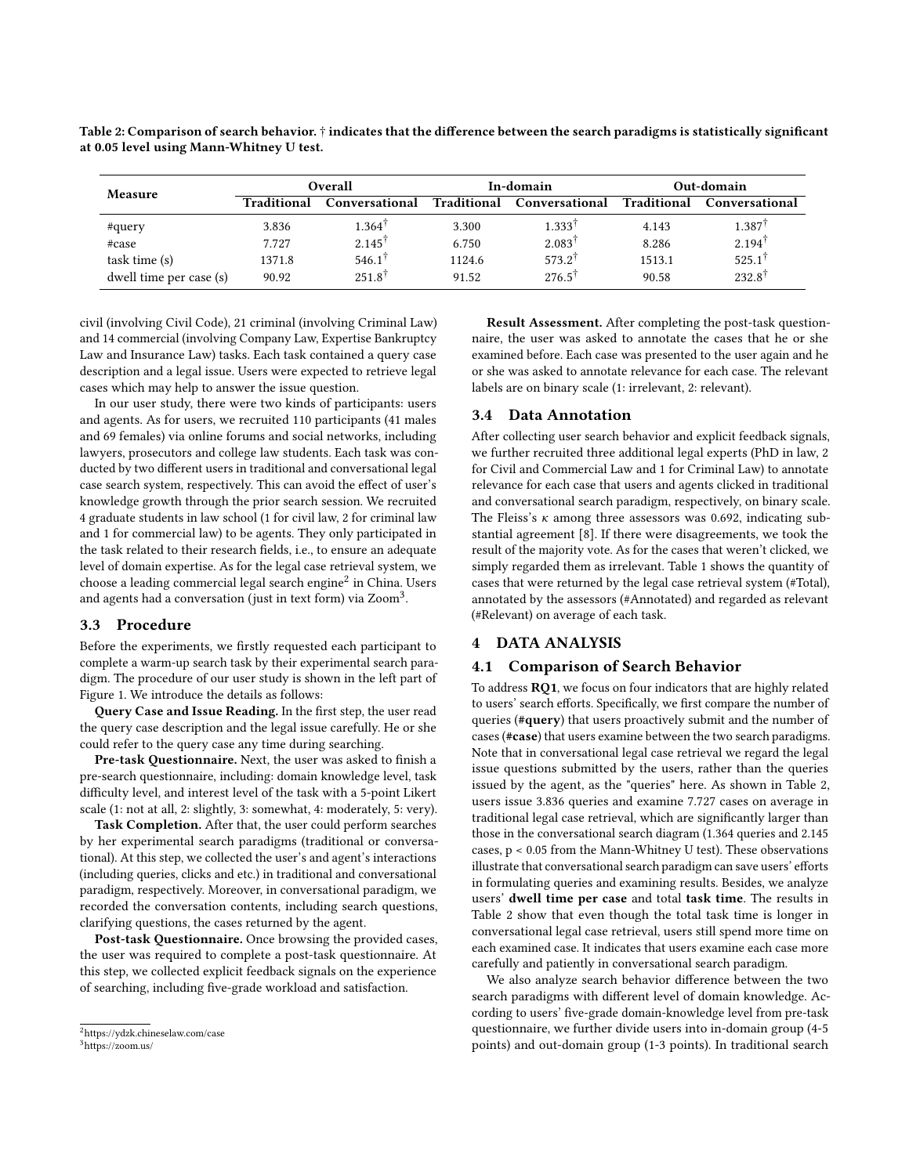| Measure                 | Overall     |                      | In-domain   |                      | Out-domain  |                   |
|-------------------------|-------------|----------------------|-------------|----------------------|-------------|-------------------|
|                         | Traditional | Conversational       | Traditional | Conversational       | Traditional | Conversational    |
| #query                  | 3.836       | $1.364$ <sup>T</sup> | 3.300       | $1.333$ <sup>1</sup> | 4.143       | $1.387^{\dagger}$ |
| #case                   | 7.727       | $2.145^{\dagger}$    | 6.750       | $2.083^{\dagger}$    | 8.286       | $2.194^{\dagger}$ |
| task time (s)           | 1371.8      | $546.1^{\dagger}$    | 1124.6      | $573.2^{\dagger}$    | 1513.1      | $525.1^{\dagger}$ |
| dwell time per case (s) | 90.92       | $251.8^{\dagger}$    | 91.52       | $276.5^{\dagger}$    | 90.58       | $232.8^{\dagger}$ |

<span id="page-2-2"></span>Table 2: Comparison of search behavior. † indicates that the difference between the search paradigms is statistically significant at 0.05 level using Mann-Whitney U test.

civil (involving Civil Code), 21 criminal (involving Criminal Law) and 14 commercial (involving Company Law, Expertise Bankruptcy Law and Insurance Law) tasks. Each task contained a query case description and a legal issue. Users were expected to retrieve legal cases which may help to answer the issue question.

In our user study, there were two kinds of participants: users and agents. As for users, we recruited 110 participants (41 males and 69 females) via online forums and social networks, including lawyers, prosecutors and college law students. Each task was conducted by two different users in traditional and conversational legal case search system, respectively. This can avoid the effect of user's knowledge growth through the prior search session. We recruited 4 graduate students in law school (1 for civil law, 2 for criminal law and 1 for commercial law) to be agents. They only participated in the task related to their research fields, i.e., to ensure an adequate level of domain expertise. As for the legal case retrieval system, we choose a leading commercial legal search engine $^2$  $^2$  in China. Users and agents had a conversation (just in text form) via Zoom $^3\!$  $^3\!$  $^3\!$ .

#### 3.3 Procedure

Before the experiments, we firstly requested each participant to complete a warm-up search task by their experimental search paradigm. The procedure of our user study is shown in the left part of Figure [1.](#page-1-1) We introduce the details as follows:

Query Case and Issue Reading. In the first step, the user read the query case description and the legal issue carefully. He or she could refer to the query case any time during searching.

Pre-task Questionnaire. Next, the user was asked to finish a pre-search questionnaire, including: domain knowledge level, task difficulty level, and interest level of the task with a 5-point Likert scale (1: not at all, 2: slightly, 3: somewhat, 4: moderately, 5: very).

Task Completion. After that, the user could perform searches by her experimental search paradigms (traditional or conversational). At this step, we collected the user's and agent's interactions (including queries, clicks and etc.) in traditional and conversational paradigm, respectively. Moreover, in conversational paradigm, we recorded the conversation contents, including search questions, clarifying questions, the cases returned by the agent.

Post-task Questionnaire. Once browsing the provided cases, the user was required to complete a post-task questionnaire. At this step, we collected explicit feedback signals on the experience of searching, including five-grade workload and satisfaction.

Result Assessment. After completing the post-task questionnaire, the user was asked to annotate the cases that he or she examined before. Each case was presented to the user again and he or she was asked to annotate relevance for each case. The relevant labels are on binary scale (1: irrelevant, 2: relevant).

# 3.4 Data Annotation

After collecting user search behavior and explicit feedback signals, we further recruited three additional legal experts (PhD in law, 2 for Civil and Commercial Law and 1 for Criminal Law) to annotate relevance for each case that users and agents clicked in traditional and conversational search paradigm, respectively, on binary scale. The Fleiss's  $\kappa$  among three assessors was 0.692, indicating substantial agreement [\[8\]](#page-4-18). If there were disagreements, we took the result of the majority vote. As for the cases that weren't clicked, we simply regarded them as irrelevant. Table [1](#page-1-2) shows the quantity of cases that were returned by the legal case retrieval system (#Total), annotated by the assessors (#Annotated) and regarded as relevant (#Relevant) on average of each task.

#### 4 DATA ANALYSIS

#### 4.1 Comparison of Search Behavior

To address RQ1, we focus on four indicators that are highly related to users' search efforts. Specifically, we first compare the number of queries (#query) that users proactively submit and the number of cases (#case) that users examine between the two search paradigms. Note that in conversational legal case retrieval we regard the legal issue questions submitted by the users, rather than the queries issued by the agent, as the "queries" here. As shown in Table [2,](#page-2-2) users issue 3.836 queries and examine 7.727 cases on average in traditional legal case retrieval, which are significantly larger than those in the conversational search diagram (1.364 queries and 2.145 cases, p < 0.05 from the Mann-Whitney U test). These observations illustrate that conversational search paradigm can save users' efforts in formulating queries and examining results. Besides, we analyze users' dwell time per case and total task time. The results in Table [2](#page-2-2) show that even though the total task time is longer in conversational legal case retrieval, users still spend more time on each examined case. It indicates that users examine each case more carefully and patiently in conversational search paradigm.

We also analyze search behavior difference between the two search paradigms with different level of domain knowledge. According to users' five-grade domain-knowledge level from pre-task questionnaire, we further divide users into in-domain group (4-5 points) and out-domain group (1-3 points). In traditional search

<span id="page-2-0"></span><sup>2</sup>https://ydzk.chineselaw.com/case

<span id="page-2-1"></span><sup>3</sup>https://zoom.us/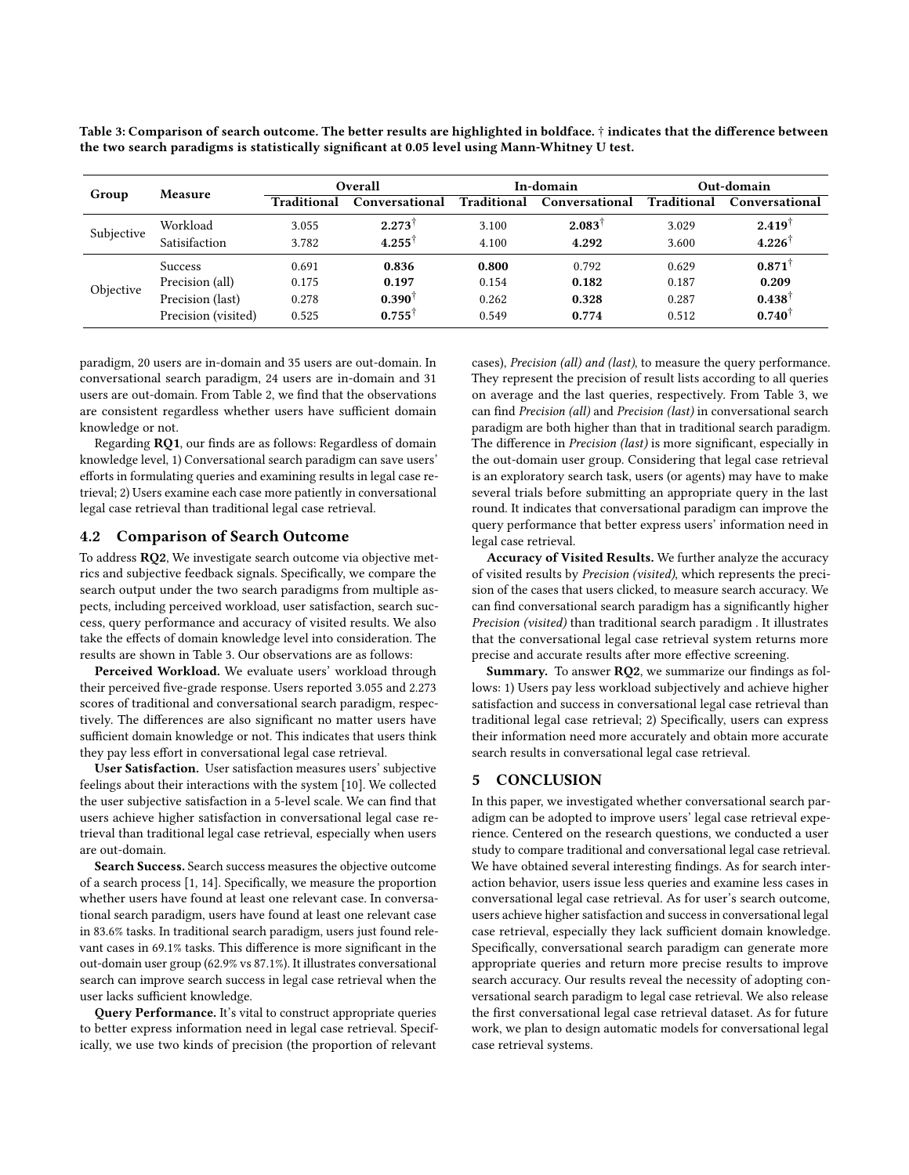<span id="page-3-0"></span>Table 3: Comparison of search outcome. The better results are highlighted in boldface. † indicates that the difference between the two search paradigms is statistically significant at 0.05 level using Mann-Whitney U test.

| Group      | <b>Measure</b>      | Overall     |                   | In-domain   |                   | Out-domain  |                   |
|------------|---------------------|-------------|-------------------|-------------|-------------------|-------------|-------------------|
|            |                     | Traditional | Conversational    | Traditional | Conversational    | Traditional | Conversational    |
| Subjective | Workload            | 3.055       | $2.273^{\dagger}$ | 3.100       | $2.083^{\dagger}$ | 3.029       | $2.419^{\dagger}$ |
|            | Satisifaction       | 3.782       | $4.255^{\dagger}$ | 4.100       | 4.292             | 3.600       | $4.226^{\dagger}$ |
| Objective  | <b>Success</b>      | 0.691       | 0.836             | 0.800       | 0.792             | 0.629       | 0.871             |
|            | Precision (all)     | 0.175       | 0.197             | 0.154       | 0.182             | 0.187       | 0.209             |
|            | Precision (last)    | 0.278       | $0.390^{\dagger}$ | 0.262       | 0.328             | 0.287       | $0.438^{\dagger}$ |
|            | Precision (visited) | 0.525       | $0.755^{\dagger}$ | 0.549       | 0.774             | 0.512       | $0.740^{\dagger}$ |

paradigm, 20 users are in-domain and 35 users are out-domain. In conversational search paradigm, 24 users are in-domain and 31 users are out-domain. From Table [2,](#page-2-2) we find that the observations are consistent regardless whether users have sufficient domain knowledge or not.

Regarding RQ1, our finds are as follows: Regardless of domain knowledge level, 1) Conversational search paradigm can save users' efforts in formulating queries and examining results in legal case retrieval; 2) Users examine each case more patiently in conversational legal case retrieval than traditional legal case retrieval.

## 4.2 Comparison of Search Outcome

To address RQ2, We investigate search outcome via objective metrics and subjective feedback signals. Specifically, we compare the search output under the two search paradigms from multiple aspects, including perceived workload, user satisfaction, search success, query performance and accuracy of visited results. We also take the effects of domain knowledge level into consideration. The results are shown in Table [3.](#page-3-0) Our observations are as follows:

Perceived Workload. We evaluate users' workload through their perceived five-grade response. Users reported 3.055 and 2.273 scores of traditional and conversational search paradigm, respectively. The differences are also significant no matter users have sufficient domain knowledge or not. This indicates that users think they pay less effort in conversational legal case retrieval.

User Satisfaction. User satisfaction measures users' subjective feelings about their interactions with the system [\[10\]](#page-4-19). We collected the user subjective satisfaction in a 5-level scale. We can find that users achieve higher satisfaction in conversational legal case retrieval than traditional legal case retrieval, especially when users are out-domain.

Search Success. Search success measures the objective outcome of a search process [\[1,](#page-4-20) [14\]](#page-4-21). Specifically, we measure the proportion whether users have found at least one relevant case. In conversational search paradigm, users have found at least one relevant case in 83.6% tasks. In traditional search paradigm, users just found relevant cases in 69.1% tasks. This difference is more significant in the out-domain user group (62.9% vs 87.1%). It illustrates conversational search can improve search success in legal case retrieval when the user lacks sufficient knowledge.

Query Performance. It's vital to construct appropriate queries to better express information need in legal case retrieval. Specifically, we use two kinds of precision (the proportion of relevant cases), Precision (all) and (last), to measure the query performance. They represent the precision of result lists according to all queries on average and the last queries, respectively. From Table [3,](#page-3-0) we can find Precision (all) and Precision (last) in conversational search paradigm are both higher than that in traditional search paradigm. The difference in Precision (last) is more significant, especially in the out-domain user group. Considering that legal case retrieval is an exploratory search task, users (or agents) may have to make several trials before submitting an appropriate query in the last round. It indicates that conversational paradigm can improve the query performance that better express users' information need in legal case retrieval.

Accuracy of Visited Results. We further analyze the accuracy of visited results by Precision (visited), which represents the precision of the cases that users clicked, to measure search accuracy. We can find conversational search paradigm has a significantly higher Precision (visited) than traditional search paradigm . It illustrates that the conversational legal case retrieval system returns more precise and accurate results after more effective screening.

Summary. To answer RQ2, we summarize our findings as follows: 1) Users pay less workload subjectively and achieve higher satisfaction and success in conversational legal case retrieval than traditional legal case retrieval; 2) Specifically, users can express their information need more accurately and obtain more accurate search results in conversational legal case retrieval.

#### 5 CONCLUSION

In this paper, we investigated whether conversational search paradigm can be adopted to improve users' legal case retrieval experience. Centered on the research questions, we conducted a user study to compare traditional and conversational legal case retrieval. We have obtained several interesting findings. As for search interaction behavior, users issue less queries and examine less cases in conversational legal case retrieval. As for user's search outcome, users achieve higher satisfaction and success in conversational legal case retrieval, especially they lack sufficient domain knowledge. Specifically, conversational search paradigm can generate more appropriate queries and return more precise results to improve search accuracy. Our results reveal the necessity of adopting conversational search paradigm to legal case retrieval. We also release the first conversational legal case retrieval dataset. As for future work, we plan to design automatic models for conversational legal case retrieval systems.